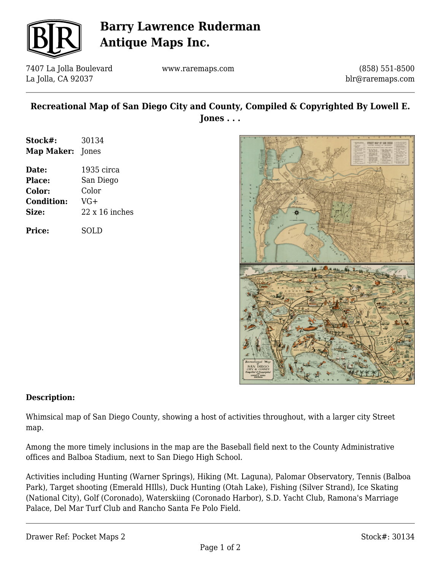

# **Barry Lawrence Ruderman Antique Maps Inc.**

7407 La Jolla Boulevard La Jolla, CA 92037

www.raremaps.com

(858) 551-8500 blr@raremaps.com

### **Recreational Map of San Diego City and County, Compiled & Copyrighted By Lowell E. Jones . . .**

| Stock#:                 | 30134 |
|-------------------------|-------|
| <b>Map Maker:</b> Jones |       |

| Date:             | 1935 circa            |
|-------------------|-----------------------|
| <b>Place:</b>     | San Diego             |
| Color:            | Color                 |
| <b>Condition:</b> | $VG+$                 |
| Size:             | $22 \times 16$ inches |
|                   |                       |

**Price:** SOLD



#### **Description:**

Whimsical map of San Diego County, showing a host of activities throughout, with a larger city Street map.

Among the more timely inclusions in the map are the Baseball field next to the County Administrative offices and Balboa Stadium, next to San Diego High School.

Activities including Hunting (Warner Springs), Hiking (Mt. Laguna), Palomar Observatory, Tennis (Balboa Park), Target shooting (Emerald HIlls), Duck Hunting (Otah Lake), Fishing (Silver Strand), Ice Skating (National City), Golf (Coronado), Waterskiing (Coronado Harbor), S.D. Yacht Club, Ramona's Marriage Palace, Del Mar Turf Club and Rancho Santa Fe Polo Field.